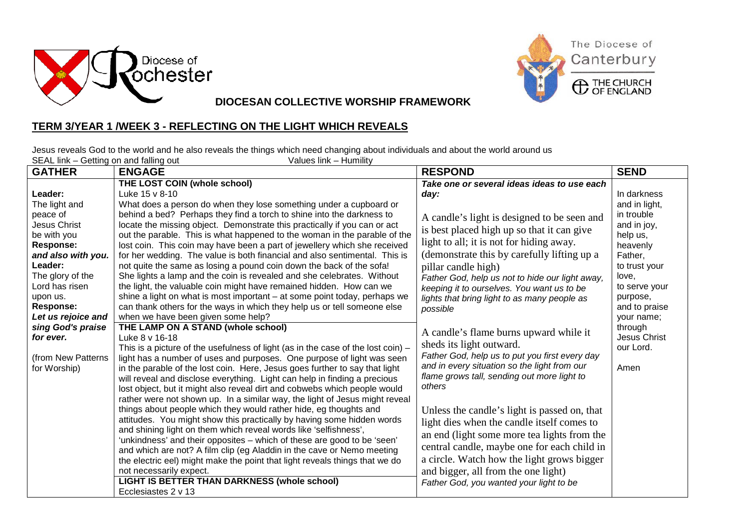



**DIOCESAN COLLECTIVE WORSHIP FRAMEWORK**

## **TERM 3/YEAR 1 /WEEK 3 - REFLECTING ON THE LIGHT WHICH REVEALS**

Jesus reveals God to the world and he also reveals the things which need changing about individuals and about the world around us SEAL link – Getting on and falling out Values link – Humility

| <b>GATHER</b>       | <b>ENGAGE</b>                                                                      | <b>RESPOND</b>                                  | <b>SEND</b>         |
|---------------------|------------------------------------------------------------------------------------|-------------------------------------------------|---------------------|
|                     | THE LOST COIN (whole school)                                                       | Take one or several ideas ideas to use each     |                     |
| Leader:             | Luke 15 v 8-10                                                                     | day:                                            | In darkness         |
| The light and       | What does a person do when they lose something under a cupboard or                 |                                                 | and in light,       |
| peace of            | behind a bed? Perhaps they find a torch to shine into the darkness to              | A candle's light is designed to be seen and     | in trouble          |
| <b>Jesus Christ</b> | locate the missing object. Demonstrate this practically if you can or act          | is best placed high up so that it can give      | and in joy,         |
| be with you         | out the parable. This is what happened to the woman in the parable of the          |                                                 | help us,            |
| <b>Response:</b>    | lost coin. This coin may have been a part of jewellery which she received          | light to all; it is not for hiding away.        | heavenly            |
| and also with you.  | for her wedding. The value is both financial and also sentimental. This is         | (demonstrate this by carefully lifting up a     | Father,             |
| Leader:             | not quite the same as losing a pound coin down the back of the sofa!               | pillar candle high)                             | to trust your       |
| The glory of the    | She lights a lamp and the coin is revealed and she celebrates. Without             | Father God, help us not to hide our light away, | love,               |
| Lord has risen      | the light, the valuable coin might have remained hidden. How can we                | keeping it to ourselves. You want us to be      | to serve your       |
| upon us.            | shine a light on what is most important – at some point today, perhaps we          | lights that bring light to as many people as    | purpose,            |
| <b>Response:</b>    | can thank others for the ways in which they help us or tell someone else           | possible                                        | and to praise       |
| Let us rejoice and  | when we have been given some help?                                                 |                                                 | your name;          |
| sing God's praise   | THE LAMP ON A STAND (whole school)                                                 | A candle's flame burns upward while it          | through             |
| for ever.           | Luke 8 v 16-18                                                                     | sheds its light outward.                        | <b>Jesus Christ</b> |
|                     | This is a picture of the usefulness of light (as in the case of the lost coin) $-$ | Father God, help us to put you first every day  | our Lord.           |
| (from New Patterns  | light has a number of uses and purposes. One purpose of light was seen             | and in every situation so the light from our    |                     |
| for Worship)        | in the parable of the lost coin. Here, Jesus goes further to say that light        | flame grows tall, sending out more light to     | Amen                |
|                     | will reveal and disclose everything. Light can help in finding a precious          | others                                          |                     |
|                     | lost object, but it might also reveal dirt and cobwebs which people would          |                                                 |                     |
|                     | rather were not shown up. In a similar way, the light of Jesus might reveal        |                                                 |                     |
|                     | things about people which they would rather hide, eg thoughts and                  | Unless the candle's light is passed on, that    |                     |
|                     | attitudes. You might show this practically by having some hidden words             | light dies when the candle itself comes to      |                     |
|                     | and shining light on them which reveal words like 'selfishness',                   | an end (light some more tea lights from the     |                     |
|                     | 'unkindness' and their opposites - which of these are good to be 'seen'            | central candle, maybe one for each child in     |                     |
|                     | and which are not? A film clip (eg Aladdin in the cave or Nemo meeting             | a circle. Watch how the light grows bigger      |                     |
|                     | the electric eel) might make the point that light reveals things that we do        |                                                 |                     |
|                     | not necessarily expect.                                                            | and bigger, all from the one light)             |                     |
|                     | <b>LIGHT IS BETTER THAN DARKNESS (whole school)</b>                                | Father God, you wanted your light to be         |                     |
|                     | Ecclesiastes 2 v 13                                                                |                                                 |                     |